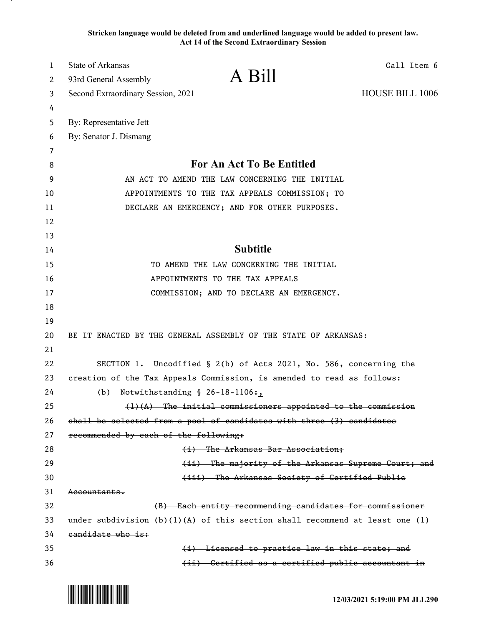**Stricken language would be deleted from and underlined language would be added to present law. Act 14 of the Second Extraordinary Session**

| $\mathbf{1}$ | <b>State of Arkansas</b>                                                                        |                                                                    | Call Item 6            |
|--------------|-------------------------------------------------------------------------------------------------|--------------------------------------------------------------------|------------------------|
| 2            | 93rd General Assembly                                                                           | A Bill                                                             |                        |
| 3            | Second Extraordinary Session, 2021                                                              |                                                                    | <b>HOUSE BILL 1006</b> |
| 4            |                                                                                                 |                                                                    |                        |
| 5            | By: Representative Jett                                                                         |                                                                    |                        |
| 6            | By: Senator J. Dismang                                                                          |                                                                    |                        |
| 7            |                                                                                                 |                                                                    |                        |
| 8            | <b>For An Act To Be Entitled</b>                                                                |                                                                    |                        |
| 9            | AN ACT TO AMEND THE LAW CONCERNING THE INITIAL                                                  |                                                                    |                        |
| 10           | APPOINTMENTS TO THE TAX APPEALS COMMISSION; TO<br>DECLARE AN EMERGENCY; AND FOR OTHER PURPOSES. |                                                                    |                        |
| 11           |                                                                                                 |                                                                    |                        |
| 12           |                                                                                                 |                                                                    |                        |
| 13           |                                                                                                 | <b>Subtitle</b>                                                    |                        |
| 14           | TO AMEND THE LAW CONCERNING THE INITIAL                                                         |                                                                    |                        |
| 15           | APPOINTMENTS TO THE TAX APPEALS                                                                 |                                                                    |                        |
| 16<br>17     | COMMISSION; AND TO DECLARE AN EMERGENCY.                                                        |                                                                    |                        |
| 18           |                                                                                                 |                                                                    |                        |
| 19           |                                                                                                 |                                                                    |                        |
| 20           | BE IT ENACTED BY THE GENERAL ASSEMBLY OF THE STATE OF ARKANSAS:                                 |                                                                    |                        |
| 21           |                                                                                                 |                                                                    |                        |
| 22           |                                                                                                 | SECTION 1. Uncodified § 2(b) of Acts 2021, No. 586, concerning the |                        |
| 23           | creation of the Tax Appeals Commission, is amended to read as follows:                          |                                                                    |                        |
| 24           | Notwithstanding $$26-18-1106+$ ,<br>(b)                                                         |                                                                    |                        |
| 25           | $(1)$ $(A)$ The initial commissioners appointed to the commission                               |                                                                    |                        |
| 26           | shall be selected from a pool of candidates with three (3) candidates                           |                                                                    |                        |
| 27           | recommended by each of the following:                                                           |                                                                    |                        |
| 28           |                                                                                                 | (i) The Arkansas Bar Association;                                  |                        |
| 29           |                                                                                                 | (ii) The majority of the Arkansas Supreme Court; and               |                        |
| 30           |                                                                                                 | (iii) The Arkansas Society of Certified Publie                     |                        |
| 31           | <del>Accountants.</del>                                                                         |                                                                    |                        |
| 32           | (B) Each entity recommending candidates for commissioner                                        |                                                                    |                        |
| 33           | under subdivision $(b)(1)(A)$ of this section shall recommend at least one (1)                  |                                                                    |                        |
| 34           | candidate who is:                                                                               |                                                                    |                        |
| 35           |                                                                                                 | (i) Licensed to practice law in this state; and                    |                        |
| 36           |                                                                                                 | (ii) Certified as a certified public accountant in                 |                        |